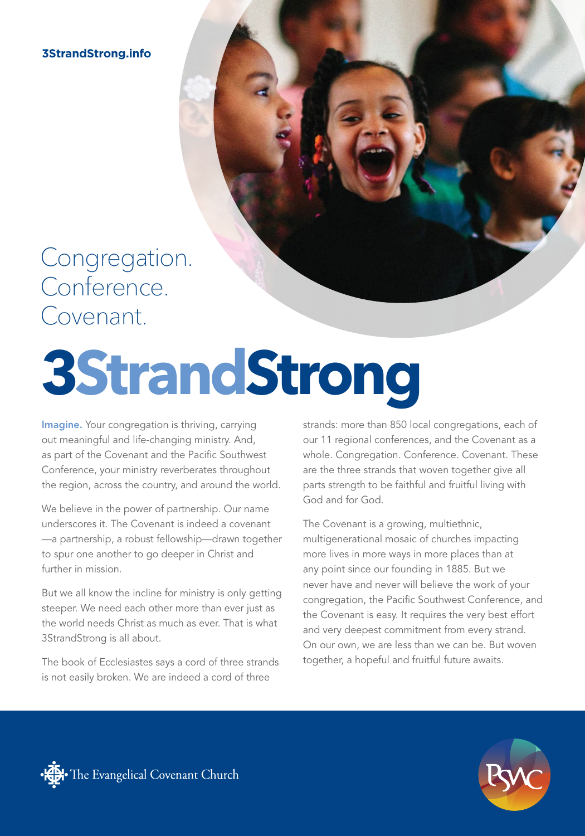**3StrandStrong.info**

### Congregation. Conference. Covenant.

# **3StrandStrong**

Imagine. Your congregation is thriving, carrying out meaningful and life-changing ministry. And, as part of the Covenant and the Pacific Southwest Conference, your ministry reverberates throughout the region, across the country, and around the world.

We believe in the power of partnership. Our name underscores it. The Covenant is indeed a covenant —a partnership, a robust fellowship—drawn together to spur one another to go deeper in Christ and further in mission.

But we all know the incline for ministry is only getting steeper. We need each other more than ever just as the world needs Christ as much as ever. That is what 3StrandStrong is all about.

The book of Ecclesiastes says a cord of three strands is not easily broken. We are indeed a cord of three

strands: more than 850 local congregations, each of our 11 regional conferences, and the Covenant as a whole. Congregation. Conference. Covenant. These are the three strands that woven together give all parts strength to be faithful and fruitful living with God and for God.

The Covenant is a growing, multiethnic, multigenerational mosaic of churches impacting more lives in more ways in more places than at any point since our founding in 1885. But we never have and never will believe the work of your congregation, the Pacific Southwest Conference, and the Covenant is easy. It requires the very best effort and very deepest commitment from every strand. On our own, we are less than we can be. But woven together, a hopeful and fruitful future awaits.



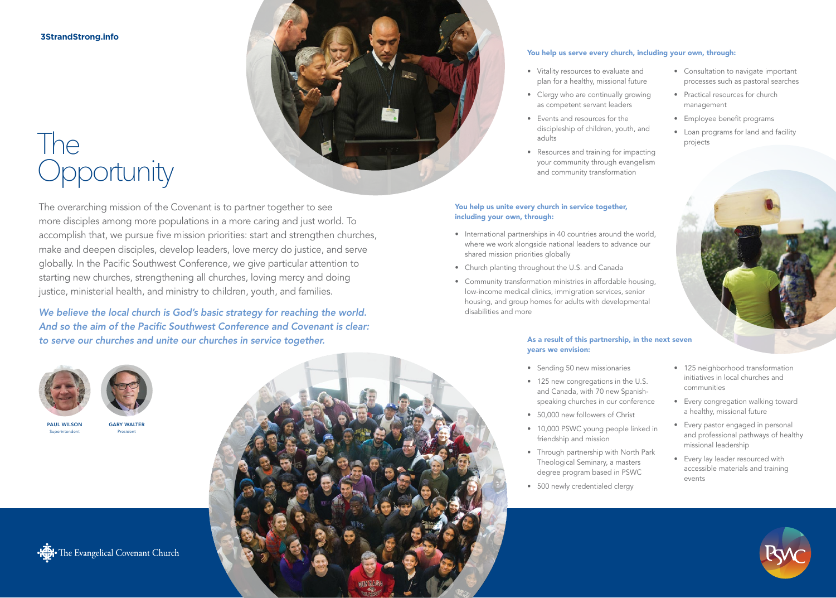**3StrandStrong.info**

## The **The<br>Opportunity**

The overarching mission of the Covenant is to partner together to see more disciples among more populations in a more caring and just world. To accomplish that, we pursue five mission priorities: start and strengthen churches, make and deepen disciples, develop leaders, love mercy do justice, and serve globally. In the Pacific Southwest Conference, we give particular attention to starting new churches, strengthening all churches, loving mercy and doing justice, ministerial health, and ministry to children, youth, and families.

*We believe the local church is God's basic strategy for reaching the world. And so the aim of the Pacific Southwest Conference and Covenant is clear: to serve our churches and unite our churches in service together.*





GARY WALTER President

PAUL WILSON Superintendent



### You help us serve every church, including your own, through:

- Vitality resources to evaluate and plan for a healthy, missional future
- Clergy who are continually growing as competent servant leaders
- Events and resources for the discipleship of children, youth, and adults
- Resources and training for impacting your community through evangelism and community transformation

### You help us unite every church in service together, including your own, through:

- International partnerships in 40 countries around the world, where we work alongside national leaders to advance our shared mission priorities globally
- Church planting throughout the U.S. and Canada
- Community transformation ministries in affordable housing, low-income medical clinics, immigration services, senior housing, and group homes for adults with developmental disabilities and more

### As a result of this partnership, in the next seven years we envision:

- Sending 50 new missionaries
- 125 new congregations in the U.S. and Canada, with 70 new Spanishspeaking churches in our conference
- 50,000 new followers of Christ
- 10,000 PSWC young people linked in friendship and mission
- Through partnership with North Park Theological Seminary, a masters degree program based in PSWC
- 500 newly credentialed clergy
- Consultation to navigate important processes such as pastoral searches
- Practical resources for church management
- Employee benefit programs
- Loan programs for land and facility projects



- 125 neighborhood transformation initiatives in local churches and communities
- Every congregation walking toward a healthy, missional future
- Every pastor engaged in personal and professional pathways of healthy missional leadership
- Every lay leader resourced with accessible materials and training events